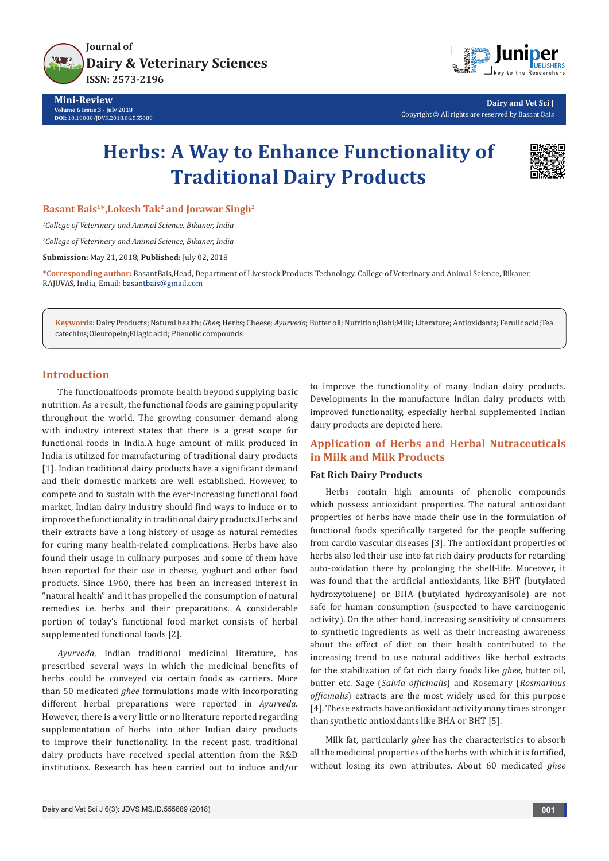

**Mini-Review Volume 6 Issue 3 - July 2018 DOI:** [10.19080/JDVS.2018.06.555689](http://dx.doi.org/10.19080/JDVS.2018.06.555689)



**Dairy and Vet Sci J** Copyright © All rights are reserved by Basant Bais

# **Herbs: A Way to Enhance Functionality of Traditional Dairy Products**



**Basant Bais1\*,Lokesh Tak2 and Jorawar Singh2**

*1 College of Veterinary and Animal Science, Bikaner, India*

*2 College of Veterinary and Animal Science, Bikaner, India*

**Submission:** May 21, 2018; **Published:** July 02, 2018

**\*Corresponding author:** BasantBais,Head, Department of Livestock Products Technology, College of Veterinary and Animal Science, Bikaner, RAJUVAS, India, Email: basantbais@gmail.com

**Keywords:** Dairy Products; Natural health; *Ghee*; Herbs; Cheese; *Ayurveda*; Butter oil; Nutrition;Dahi;Milk; Literature; Antioxidants; Ferulic acid;Tea catechins;Oleuropein;Ellagic acid; Phenolic compounds

#### **Introduction**

The functionalfoods promote health beyond supplying basic nutrition. As a result, the functional foods are gaining popularity throughout the world. The growing consumer demand along with industry interest states that there is a great scope for functional foods in India.A huge amount of milk produced in India is utilized for manufacturing of traditional dairy products [1]. Indian traditional dairy products have a significant demand and their domestic markets are well established. However, to compete and to sustain with the ever-increasing functional food market, Indian dairy industry should find ways to induce or to improve the functionality in traditional dairy products.Herbs and their extracts have a long history of usage as natural remedies for curing many health-related complications. Herbs have also found their usage in culinary purposes and some of them have been reported for their use in cheese, yoghurt and other food products. Since 1960, there has been an increased interest in "natural health" and it has propelled the consumption of natural remedies i.e. herbs and their preparations. A considerable portion of today's functional food market consists of herbal supplemented functional foods [2].

*Ayurveda*, Indian traditional medicinal literature, has prescribed several ways in which the medicinal benefits of herbs could be conveyed via certain foods as carriers. More than 50 medicated *ghee* formulations made with incorporating different herbal preparations were reported in *Ayurveda*. However, there is a very little or no literature reported regarding supplementation of herbs into other Indian dairy products to improve their functionality. In the recent past, traditional dairy products have received special attention from the R&D institutions. Research has been carried out to induce and/or

to improve the functionality of many Indian dairy products. Developments in the manufacture Indian dairy products with improved functionality, especially herbal supplemented Indian dairy products are depicted here.

## **Application of Herbs and Herbal Nutraceuticals in Milk and Milk Products**

## **Fat Rich Dairy Products**

Herbs contain high amounts of phenolic compounds which possess antioxidant properties. The natural antioxidant properties of herbs have made their use in the formulation of functional foods specifically targeted for the people suffering from cardio vascular diseases [3]. The antioxidant properties of herbs also led their use into fat rich dairy products for retarding auto-oxidation there by prolonging the shelf-life. Moreover, it was found that the artificial antioxidants, like BHT (butylated hydroxytoluene) or BHA (butylated hydroxyanisole) are not safe for human consumption (suspected to have carcinogenic activity). On the other hand, increasing sensitivity of consumers to synthetic ingredients as well as their increasing awareness about the effect of diet on their health contributed to the increasing trend to use natural additives like herbal extracts for the stabilization of fat rich dairy foods like *ghee*, butter oil, butter etc. Sage (*Salvia officinalis*) and Rosemary (*Rosmarinus officinalis*) extracts are the most widely used for this purpose [4]. These extracts have antioxidant activity many times stronger than synthetic antioxidants like BHA or BHT [5].

Milk fat, particularly *ghee* has the characteristics to absorb all the medicinal properties of the herbs with which it is fortified, without losing its own attributes. About 60 medicated *ghee*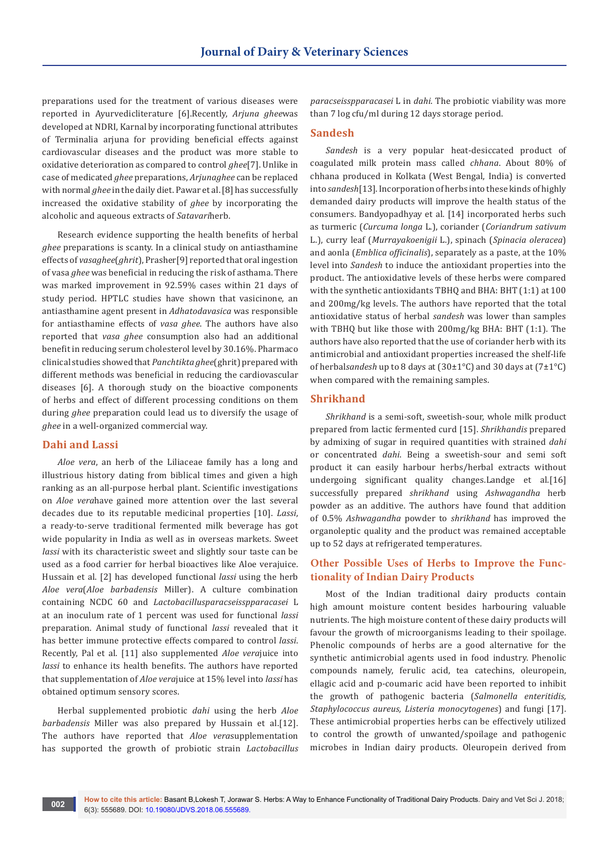preparations used for the treatment of various diseases were reported in Ayurvedicliterature [6].Recently, *Arjuna ghee*was developed at NDRI, Karnal by incorporating functional attributes of Terminalia arjuna for providing beneficial effects against cardiovascular diseases and the product was more stable to oxidative deterioration as compared to control *ghee*[7]. Unlike in case of medicated *ghee* preparations, *Arjunaghee* can be replaced with normal *ghee* in the daily diet. Pawar et al. [8] has successfully increased the oxidative stability of *ghee* by incorporating the alcoholic and aqueous extracts of *Satavari*herb.

Research evidence supporting the health benefits of herbal *ghee* preparations is scanty. In a clinical study on antiasthamine effects of *vasaghee*(*ghrit*), Prasher[9] reported that oral ingestion of vasa *ghee* was beneficial in reducing the risk of asthama. There was marked improvement in 92.59% cases within 21 days of study period. HPTLC studies have shown that vasicinone, an antiasthamine agent present in *Adhatodavasica* was responsible for antiasthamine effects of *vasa ghee*. The authors have also reported that *vasa ghee* consumption also had an additional benefit in reducing serum cholesterol level by 30.16%. Pharmaco clinical studies showed that *Panchtikta ghee*(ghrit) prepared with different methods was beneficial in reducing the cardiovascular diseases [6]. A thorough study on the bioactive components of herbs and effect of different processing conditions on them during *ghee* preparation could lead us to diversify the usage of *ghee* in a well-organized commercial way.

#### **Dahi and Lassi**

*Aloe vera*, an herb of the Liliaceae family has a long and illustrious history dating from biblical times and given a high ranking as an all-purpose herbal plant. Scientific investigations on *Aloe vera*have gained more attention over the last several decades due to its reputable medicinal properties [10]. *Lassi*, a ready-to-serve traditional fermented milk beverage has got wide popularity in India as well as in overseas markets. Sweet *lassi* with its characteristic sweet and slightly sour taste can be used as a food carrier for herbal bioactives like Aloe verajuice. Hussain et al. [2] has developed functional *lassi* using the herb *Aloe vera*(*Aloe barbadensis* Miller). A culture combination containing NCDC 60 and *Lactobacillusparacseisspparacasei* L at an inoculum rate of 1 percent was used for functional *lassi* preparation. Animal study of functional *lassi* revealed that it has better immune protective effects compared to control *lassi*. Recently, Pal et al. [11] also supplemented *Aloe vera*juice into *lassi* to enhance its health benefits. The authors have reported that supplementation of *Aloe vera*juice at 15% level into *lassi* has obtained optimum sensory scores.

Herbal supplemented probiotic *dahi* using the herb *Aloe barbadensis* Miller was also prepared by Hussain et al.[12]. The authors have reported that *Aloe vera*supplementation has supported the growth of probiotic strain *Lactobacillus* 

*paracseisspparacasei* L in *dahi*. The probiotic viability was more than 7 log cfu/ml during 12 days storage period.

#### **Sandesh**

*Sandesh* is a very popular heat-desiccated product of coagulated milk protein mass called *chhana*. About 80% of chhana produced in Kolkata (West Bengal, India) is converted into *sandesh*[13]. Incorporation of herbs into these kinds of highly demanded dairy products will improve the health status of the consumers. Bandyopadhyay et al. [14] incorporated herbs such as turmeric (*Curcuma longa* L.), coriander (*Coriandrum sativum* L.), curry leaf (*Murrayakoenigii* L.), spinach (*Spinacia oleracea*) and aonla (*Emblica officinalis*), separately as a paste, at the 10% level into *Sandesh* to induce the antioxidant properties into the product. The antioxidative levels of these herbs were compared with the synthetic antioxidants TBHQ and BHA: BHT (1:1) at 100 and 200mg/kg levels. The authors have reported that the total antioxidative status of herbal *sandesh* was lower than samples with TBHQ but like those with 200mg/kg BHA: BHT (1:1). The authors have also reported that the use of coriander herb with its antimicrobial and antioxidant properties increased the shelf-life of herbal*sandesh* up to 8 days at (30±1°C) and 30 days at (7±1°C) when compared with the remaining samples.

### **Shrikhand**

*Shrikhand* is a semi-soft, sweetish-sour, whole milk product prepared from lactic fermented curd [15]. *Shrikhandis* prepared by admixing of sugar in required quantities with strained *dahi*  or concentrated *dahi*. Being a sweetish-sour and semi soft product it can easily harbour herbs/herbal extracts without undergoing significant quality changes.Landge et al.[16] successfully prepared *shrikhand* using *Ashwagandha* herb powder as an additive. The authors have found that addition of 0.5% *Ashwagandha* powder to *shrikhand* has improved the organoleptic quality and the product was remained acceptable up to 52 days at refrigerated temperatures.

## **Other Possible Uses of Herbs to Improve the Functionality of Indian Dairy Products**

Most of the Indian traditional dairy products contain high amount moisture content besides harbouring valuable nutrients. The high moisture content of these dairy products will favour the growth of microorganisms leading to their spoilage. Phenolic compounds of herbs are a good alternative for the synthetic antimicrobial agents used in food industry. Phenolic compounds namely, ferulic acid, tea catechins, oleuropein, ellagic acid and p-coumaric acid have been reported to inhibit the growth of pathogenic bacteria (*Salmonella enteritidis, Staphylococcus aureus, Listeria monocytogenes*) and fungi [17]. These antimicrobial properties herbs can be effectively utilized to control the growth of unwanted/spoilage and pathogenic microbes in Indian dairy products. Oleuropein derived from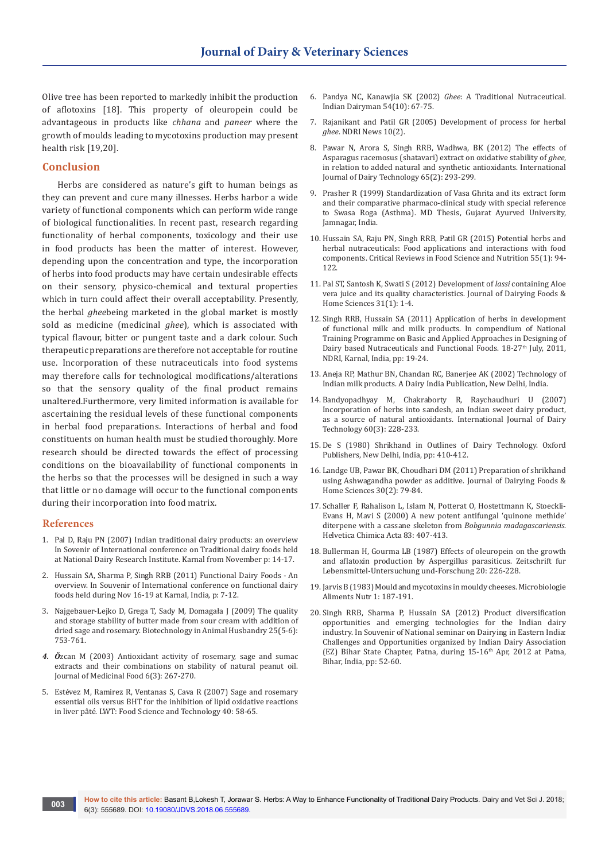Olive tree has been reported to markedly inhibit the production of aflotoxins [18]. This property of oleuropein could be advantageous in products like *chhana* and *paneer* where the growth of moulds leading to mycotoxins production may present health risk [19,20].

#### **Conclusion**

Herbs are considered as nature's gift to human beings as they can prevent and cure many illnesses. Herbs harbor a wide variety of functional components which can perform wide range of biological functionalities. In recent past, research regarding functionality of herbal components, toxicology and their use in food products has been the matter of interest. However, depending upon the concentration and type, the incorporation of herbs into food products may have certain undesirable effects on their sensory, physico-chemical and textural properties which in turn could affect their overall acceptability. Presently, the herbal *ghee*being marketed in the global market is mostly sold as medicine (medicinal *ghee*), which is associated with typical flavour, bitter or pungent taste and a dark colour. Such therapeutic preparations are therefore not acceptable for routine use. Incorporation of these nutraceuticals into food systems may therefore calls for technological modifications/alterations so that the sensory quality of the final product remains unaltered.Furthermore, very limited information is available for ascertaining the residual levels of these functional components in herbal food preparations. Interactions of herbal and food constituents on human health must be studied thoroughly. More research should be directed towards the effect of processing conditions on the bioavailability of functional components in the herbs so that the processes will be designed in such a way that little or no damage will occur to the functional components during their incorporation into food matrix.

#### **References**

- 1. Pal D, Raju PN (2007) Indian traditional dairy products: an overview In Sovenir of International conference on Traditional dairy foods held at National Dairy Research Institute. Karnal from November p: 14-17.
- 2. Hussain SA, Sharma P, Singh RRB (2011) Functional Dairy Foods An overview. In Souvenir of International conference on functional dairy foods held during Nov 16-19 at Karnal, India, p: 7-12.
- 3. [Najgebauer-Lejko D, Grega T, Sady M, Domagała J \(2009\) The quality](https://scindeks-clanci.ceon.rs/data/pdf/1450-9156/2009/1450-91560906753N.pdf)  [and storage stability of butter made from sour cream with addition of](https://scindeks-clanci.ceon.rs/data/pdf/1450-9156/2009/1450-91560906753N.pdf)  [dried sage and rosemary. Biotechnology in Animal Husbandry 25\(5-6\):](https://scindeks-clanci.ceon.rs/data/pdf/1450-9156/2009/1450-91560906753N.pdf)  [753-761.](https://scindeks-clanci.ceon.rs/data/pdf/1450-9156/2009/1450-91560906753N.pdf)
- *4. Ö*[zcan M \(2003\) Antioxidant activity of rosemary, sage and sumac](https://www.ncbi.nlm.nih.gov/pubmed/14585194)  [extracts and their combinations on stability of natural peanut oil.](https://www.ncbi.nlm.nih.gov/pubmed/14585194)  [Journal of Medicinal Food 6\(3\): 267-270.](https://www.ncbi.nlm.nih.gov/pubmed/14585194)
- 5. [Estévez M, Ramirez R, Ventanas S, Cava R \(2007\) Sage and rosemary](https://www.sciencedirect.com/science/article/pii/S0023643805001623)  [essential oils versus BHT for the inhibition of lipid oxidative reactions](https://www.sciencedirect.com/science/article/pii/S0023643805001623)  [in liver pâté. LWT: Food Science and Technology 40: 58-65.](https://www.sciencedirect.com/science/article/pii/S0023643805001623)
- 6. Pandya NC, Kanawjia SK (2002) *Ghee*: A Traditional Nutraceutical. Indian Dairyman 54(10): 67-75.
- 7. Rajanikant and Patil GR (2005) Development of process for herbal *ghee*. NDRI News 10(2).
- 8. [Pawar N, Arora S, Singh RRB, Wadhwa, BK \(2012\) The effects of](https://onlinelibrary.wiley.com/doi/abs/10.1111/j.1471-0307.2011.00816.x)  [Asparagus racemosus \(shatavari\) extract on oxidative stability of](https://onlinelibrary.wiley.com/doi/abs/10.1111/j.1471-0307.2011.00816.x) *ghee*, [in relation to added natural and synthetic antioxidants. International](https://onlinelibrary.wiley.com/doi/abs/10.1111/j.1471-0307.2011.00816.x)  [Journal of Dairy Technology 65\(2\): 293-299.](https://onlinelibrary.wiley.com/doi/abs/10.1111/j.1471-0307.2011.00816.x)
- 9. Prasher R (1999) Standardization of Vasa Ghrita and its extract form and their comparative pharmaco-clinical study with special reference to Swasa Roga (Asthma). MD Thesis, Gujarat Ayurved University, Jamnagar, India.
- 10. [Hussain SA, Raju PN, Singh RRB, Patil GR \(2015\) Potential herbs and](https://www.ncbi.nlm.nih.gov/pubmed/24915396)  [herbal nutraceuticals: Food applications and interactions with food](https://www.ncbi.nlm.nih.gov/pubmed/24915396)  [components. Critical Reviews in Food Science and Nutrition 55\(1\): 94-](https://www.ncbi.nlm.nih.gov/pubmed/24915396) [122.](https://www.ncbi.nlm.nih.gov/pubmed/24915396)
- 11. [Pal ST, Santosh K, Swati S \(2012\) Development of](http://www.i-scholar.in/index.php/ajdfr/article/view/65758) *lassi* containing Aloe [vera juice and its quality characteristics. Journal of Dairying Foods &](http://www.i-scholar.in/index.php/ajdfr/article/view/65758)  [Home Sciences 31\(1\): 1-4.](http://www.i-scholar.in/index.php/ajdfr/article/view/65758)
- 12. Singh RRB, Hussain SA (2011) Application of herbs in development of functional milk and milk products. In compendium of National Training Programme on Basic and Applied Approaches in Designing of Dairy based Nutraceuticals and Functional Foods. 18-27<sup>th</sup> July, 2011, NDRI, Karnal, India, pp: 19-24.
- 13. Aneja RP, Mathur BN, Chandan RC, Banerjee AK (2002) Technology of Indian milk products. A Dairy India Publication, New Delhi, India.
- 14. [Bandyopadhyay M, Chakraborty R, Raychaudhuri U \(2007\)](https://onlinelibrary.wiley.com/doi/abs/10.1111/j.1471-0307.2007.00338.x)  [Incorporation of herbs into sandesh, an Indian sweet dairy product,](https://onlinelibrary.wiley.com/doi/abs/10.1111/j.1471-0307.2007.00338.x)  [as a source of natural antioxidants. International Journal of Dairy](https://onlinelibrary.wiley.com/doi/abs/10.1111/j.1471-0307.2007.00338.x)  [Technology 60\(3\): 228-233.](https://onlinelibrary.wiley.com/doi/abs/10.1111/j.1471-0307.2007.00338.x)
- 15. De S (1980) Shrikhand in Outlines of Dairy Technology. Oxford Publishers, New Delhi, India, pp: 410-412.
- 16. Landge UB, Pawar BK, Choudhari DM (2011) Preparation of shrikhand using Ashwagandha powder as additive. Journal of Dairying Foods & Home Sciences 30(2): 79-84.
- 17. Schaller F, Rahalison L, Islam N, Potterat O, Hostettmann K, Stoeckli-Evans H, Mavi S (2000) A new potent antifungal 'quinone methide' diterpene with a cassane skeleton from *Bobgunnia madagascariensis*. Helvetica Chimica Acta 83: 407-413.
- 18. [Bullerman H, Gourma LB \(1987\) Effects of oleuropein on the growth](https://pennstate.pure.elsevier.com/en/publications/effects-of-oleuropein-on-growth-and-aflatoxin-production-by-asper)  [and aflatoxin production by Aspergillus parasiticus. Zeitschrift fur](https://pennstate.pure.elsevier.com/en/publications/effects-of-oleuropein-on-growth-and-aflatoxin-production-by-asper)  [Lebensmittel-Untersuchung und-Forschung 20: 226-228.](https://pennstate.pure.elsevier.com/en/publications/effects-of-oleuropein-on-growth-and-aflatoxin-production-by-asper)
- 19. Jarvis B (1983) Mould and mycotoxins in mouldy cheeses. Microbiologie Aliments Nutr 1: 187-191.
- 20. Singh RRB, Sharma P, Hussain SA (2012) Product diversification opportunities and emerging technologies for the Indian dairy industry. In Souvenir of National seminar on Dairying in Eastern India: Challenges and Opportunities organized by Indian Dairy Association (EZ) Bihar State Chapter, Patna, during 15-16<sup>th</sup> Apr, 2012 at Patna, Bihar, India, pp: 52-60.